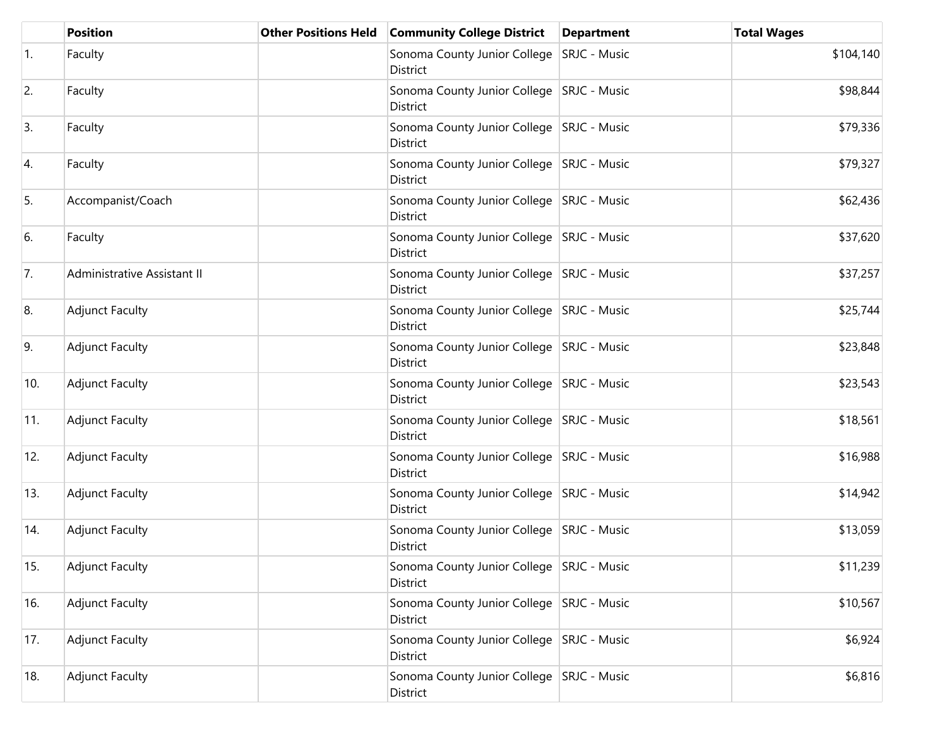|     | <b>Position</b>             | <b>Other Positions Held</b> | <b>Community College District</b>                       | <b>Department</b> | <b>Total Wages</b> |
|-----|-----------------------------|-----------------------------|---------------------------------------------------------|-------------------|--------------------|
| 1.  | Faculty                     |                             | Sonoma County Junior College SRJC - Music<br>District   |                   | \$104,140          |
| 2.  | Faculty                     |                             | Sonoma County Junior College SRJC - Music<br>District   |                   | \$98,844           |
| 3.  | Faculty                     |                             | Sonoma County Junior College   SRJC - Music<br>District |                   | \$79,336           |
| 4.  | Faculty                     |                             | Sonoma County Junior College   SRJC - Music<br>District |                   | \$79,327           |
| 5.  | Accompanist/Coach           |                             | Sonoma County Junior College   SRJC - Music<br>District |                   | \$62,436           |
| 6.  | Faculty                     |                             | Sonoma County Junior College SRJC - Music<br>District   |                   | \$37,620           |
| 7.  | Administrative Assistant II |                             | Sonoma County Junior College SRJC - Music<br>District   |                   | \$37,257           |
| 8.  | <b>Adjunct Faculty</b>      |                             | Sonoma County Junior College SRJC - Music<br>District   |                   | \$25,744           |
| 9.  | <b>Adjunct Faculty</b>      |                             | Sonoma County Junior College SRJC - Music<br>District   |                   | \$23,848           |
| 10. | <b>Adjunct Faculty</b>      |                             | Sonoma County Junior College SRJC - Music<br>District   |                   | \$23,543           |
| 11. | <b>Adjunct Faculty</b>      |                             | Sonoma County Junior College SRJC - Music<br>District   |                   | \$18,561           |
| 12. | <b>Adjunct Faculty</b>      |                             | Sonoma County Junior College SRJC - Music<br>District   |                   | \$16,988           |
| 13. | <b>Adjunct Faculty</b>      |                             | Sonoma County Junior College   SRJC - Music<br>District |                   | \$14,942           |
| 14. | <b>Adjunct Faculty</b>      |                             | Sonoma County Junior College SRJC - Music<br>District   |                   | \$13,059           |
| 15. | <b>Adjunct Faculty</b>      |                             | Sonoma County Junior College SRJC - Music<br>District   |                   | \$11,239           |
| 16. | <b>Adjunct Faculty</b>      |                             | Sonoma County Junior College SRJC - Music<br>District   |                   | \$10,567           |
| 17. | <b>Adjunct Faculty</b>      |                             | Sonoma County Junior College   SRJC - Music<br>District |                   | \$6,924            |
| 18. | <b>Adjunct Faculty</b>      |                             | Sonoma County Junior College SRJC - Music<br>District   |                   | \$6,816            |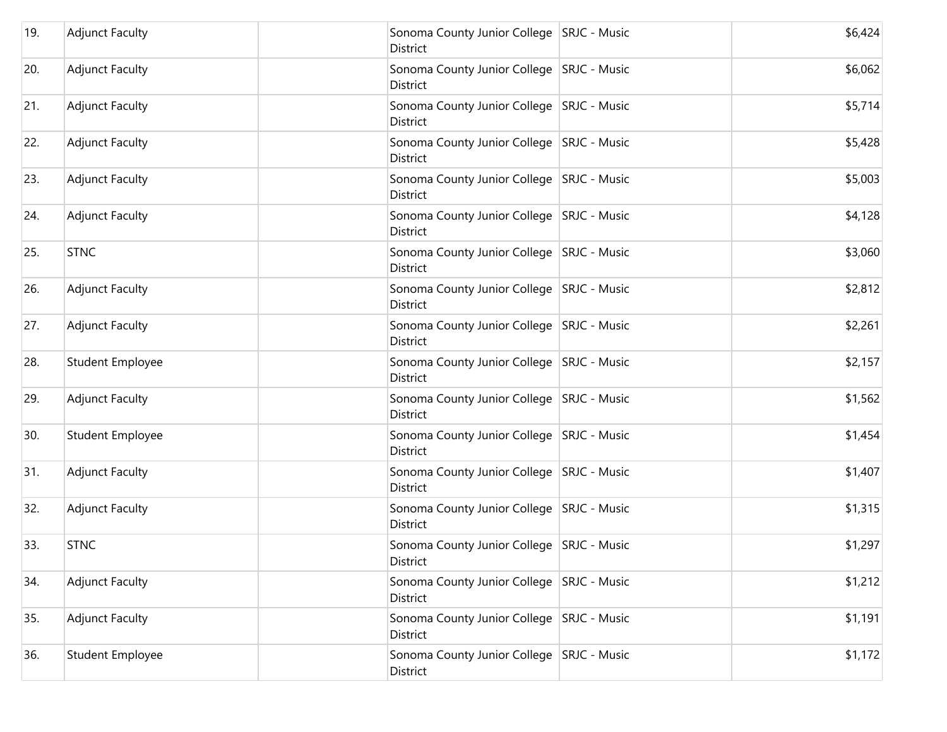| 19. | <b>Adjunct Faculty</b> | District        | Sonoma County Junior College SRJC - Music   | \$6,424 |
|-----|------------------------|-----------------|---------------------------------------------|---------|
| 20. | <b>Adjunct Faculty</b> | <b>District</b> | Sonoma County Junior College SRJC - Music   | \$6,062 |
| 21. | <b>Adjunct Faculty</b> | District        | Sonoma County Junior College SRJC - Music   | \$5,714 |
| 22. | <b>Adjunct Faculty</b> | District        | Sonoma County Junior College SRJC - Music   | \$5,428 |
| 23. | <b>Adjunct Faculty</b> | District        | Sonoma County Junior College SRJC - Music   | \$5,003 |
| 24. | <b>Adjunct Faculty</b> | District        | Sonoma County Junior College SRJC - Music   | \$4,128 |
| 25. | <b>STNC</b>            | <b>District</b> | Sonoma County Junior College SRJC - Music   | \$3,060 |
| 26. | <b>Adjunct Faculty</b> | District        | Sonoma County Junior College SRJC - Music   | \$2,812 |
| 27. | <b>Adjunct Faculty</b> | District        | Sonoma County Junior College SRJC - Music   | \$2,261 |
| 28. | Student Employee       | District        | Sonoma County Junior College SRJC - Music   | \$2,157 |
| 29. | <b>Adjunct Faculty</b> | District        | Sonoma County Junior College SRJC - Music   | \$1,562 |
| 30. | Student Employee       | District        | Sonoma County Junior College SRJC - Music   | \$1,454 |
| 31. | <b>Adjunct Faculty</b> | District        | Sonoma County Junior College SRJC - Music   | \$1,407 |
| 32. | <b>Adjunct Faculty</b> | District        | Sonoma County Junior College   SRJC - Music | \$1,315 |
| 33. | <b>STNC</b>            | District        | Sonoma County Junior College SRJC - Music   | \$1,297 |
| 34. | <b>Adjunct Faculty</b> | District        | Sonoma County Junior College SRJC - Music   | \$1,212 |
| 35. | <b>Adjunct Faculty</b> | <b>District</b> | Sonoma County Junior College SRJC - Music   | \$1,191 |
| 36. | Student Employee       | District        | Sonoma County Junior College SRJC - Music   | \$1,172 |